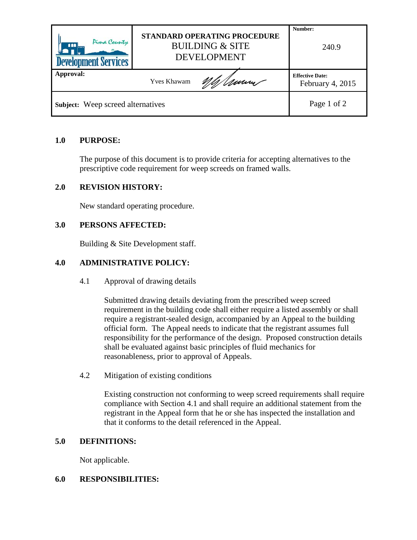| Pima County<br>$\boxed{111}$<br><b>Development Services</b> | STANDARD OPERATING PROCEDURE<br><b>BUILDING &amp; SITE</b><br><b>DEVELOPMENT</b> |        | Number:<br>240.9                           |
|-------------------------------------------------------------|----------------------------------------------------------------------------------|--------|--------------------------------------------|
| Approval:                                                   | <b>Yves Khawam</b>                                                               | M/Www. | <b>Effective Date:</b><br>February 4, 2015 |
| Subject: Weep screed alternatives                           |                                                                                  |        | Page 1 of 2                                |

## **1.0 PURPOSE:**

The purpose of this document is to provide criteria for accepting alternatives to the prescriptive code requirement for weep screeds on framed walls.

## **2.0 REVISION HISTORY:**

New standard operating procedure.

## **3.0 PERSONS AFFECTED:**

Building & Site Development staff.

## **4.0 ADMINISTRATIVE POLICY:**

4.1 Approval of drawing details

Submitted drawing details deviating from the prescribed weep screed requirement in the building code shall either require a listed assembly or shall require a registrant-sealed design, accompanied by an Appeal to the building official form. The Appeal needs to indicate that the registrant assumes full responsibility for the performance of the design. Proposed construction details shall be evaluated against basic principles of fluid mechanics for reasonableness, prior to approval of Appeals.

4.2 Mitigation of existing conditions

Existing construction not conforming to weep screed requirements shall require compliance with Section 4.1 and shall require an additional statement from the registrant in the Appeal form that he or she has inspected the installation and that it conforms to the detail referenced in the Appeal.

#### **5.0 DEFINITIONS:**

Not applicable.

#### **6.0 RESPONSIBILITIES:**